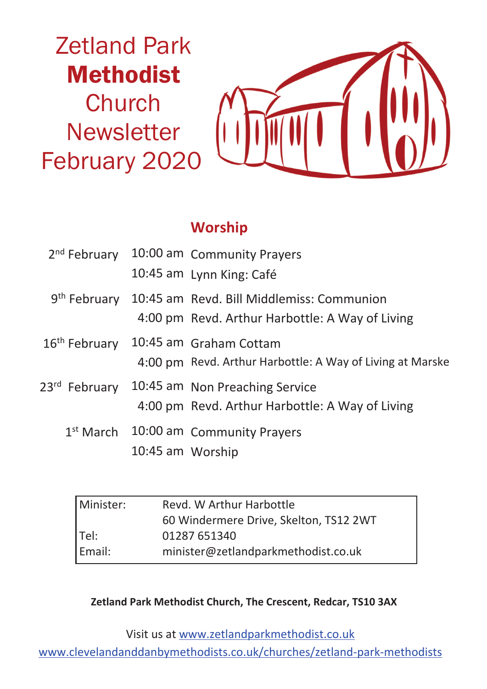

#### **Worship**

| 2 <sup>nd</sup> February  |                  | 10:00 am Community Prayers                                |  |
|---------------------------|------------------|-----------------------------------------------------------|--|
|                           |                  | 10:45 am Lynn King: Café                                  |  |
| 9 <sup>th</sup> February  |                  | 10:45 am Revd. Bill Middlemiss: Communion                 |  |
|                           |                  | 4:00 pm Revd. Arthur Harbottle: A Way of Living           |  |
| 16 <sup>th</sup> February |                  | 10:45 am Graham Cottam                                    |  |
|                           |                  | 4:00 pm Revd. Arthur Harbottle: A Way of Living at Marske |  |
| 23 <sup>rd</sup> February |                  | 10:45 am Non Preaching Service                            |  |
|                           |                  | 4:00 pm Revd. Arthur Harbottle: A Way of Living           |  |
| $1st$ March               |                  | 10:00 am Community Prayers                                |  |
|                           | 10:45 am Worship |                                                           |  |

| Revd. W Arthur Harbottle               |  |  |
|----------------------------------------|--|--|
| 60 Windermere Drive, Skelton, TS12 2WT |  |  |
| 01287 651340                           |  |  |
| minister@zetlandparkmethodist.co.uk    |  |  |
|                                        |  |  |

**Zetland Park Methodist Church, The Crescent, Redcar, TS10 3AX**

Visit us at www.zetlandparkmethodist.co.uk

www.clevelandanddanbymethodists.co.uk/churches/zetland-park-methodists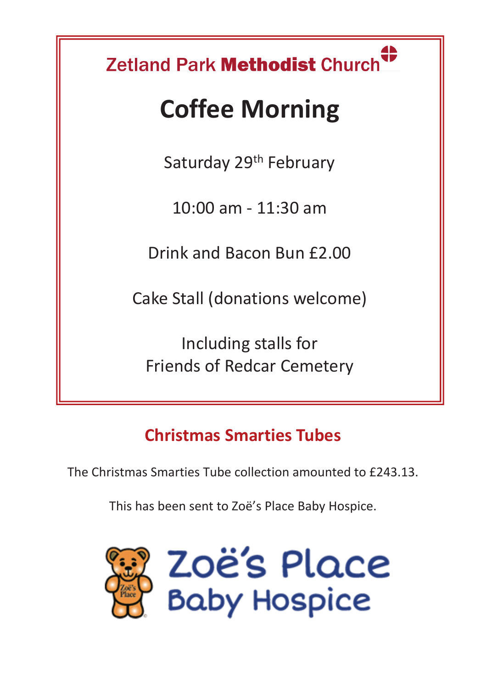# Zetland Park Methodist Church

## **Coffee Morning**

Saturday 29<sup>th</sup> February

10:00 am - 11:30 am

Drink and Bacon Bun £2.00

Cake Stall (donations welcome)

Including stalls for Friends of Redcar Cemetery

## **Christmas Smarties Tubes**

The Christmas Smarties Tube collection amounted to £243.13.

This has been sent to Zoë's Place Baby Hospice.

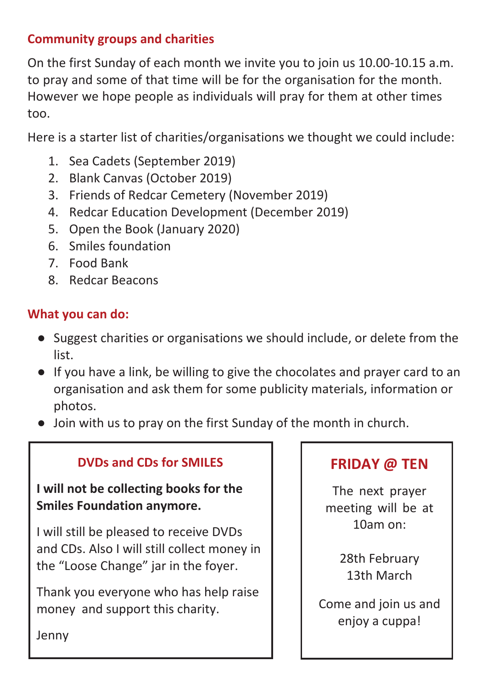#### **Community groups and charities**

On the first Sunday of each month we invite you to join us 10.00-10.15 a.m. to pray and some of that time will be for the organisation for the month. However we hope people as individuals will pray for them at other times too.

Here is a starter list of charities/organisations we thought we could include:

- 1. Sea Cadets (September 2019)
- 2. Blank Canvas (October 2019)
- 3. Friends of Redcar Cemetery (November 2019)
- 4. Redcar Education Development (December 2019)
- 5. Open the Book (January 2020)
- 6. Smiles foundation
- 7. Food Bank
- 8. Redcar Beacons

#### **What you can do:**

- Suggest charities or organisations we should include, or delete from the list.
- If you have a link, be willing to give the chocolates and prayer card to an organisation and ask them for some publicity materials, information or photos.
- Join with us to pray on the first Sunday of the month in church.

#### **DVDs and CDs for SMILES**

**I will not be collecting books for the Smiles Foundation anymore.**

I will still be pleased to receive DVDs and CDs. Also I will still collect money in the "Loose Change" jar in the foyer.

Thank you everyone who has help raise money and support this charity.

#### **FRIDAY @ TEN**

The next prayer meeting will be at 10am on:

> 28th February 13th March

Come and join us and enjoy a cuppa!

Jenny